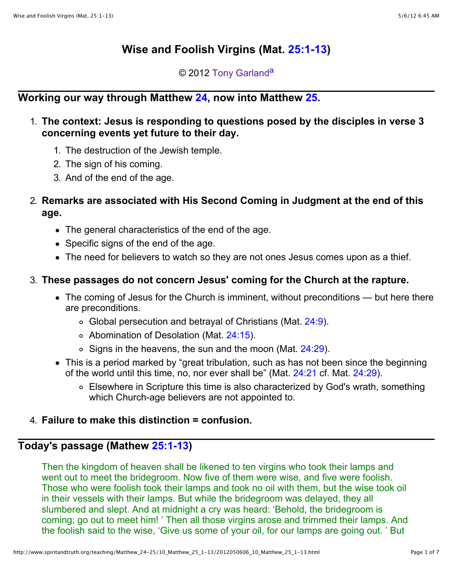# **Wise and Foolish Virgins (Mat. [25:1-13\)](http://www.spiritandtruth.org/bibles/nasb/b40c025.htm#Mtt._C25V1)**

© 2012 [Tony Garland](http://www.spiritandtruth.org/id/tg.htm)<sup>[a](http://www.spiritandtruth.org/teaching/Matthew_24-25/10_Matthew_25_1-13/2012050606_10_Matthew_25_1-13.html#a2)</sup>

## **Working our way through Matthew [24,](http://www.spiritandtruth.org/bibles/nasb/b40c024.htm#Mtt._C24V1) now into Matthew [25.](http://www.spiritandtruth.org/bibles/nasb/b40c025.htm#Mtt._C25V1)**

### 1. **The context: Jesus is responding to questions posed by the disciples in verse 3 concerning events yet future to their day.**

- 1. The destruction of the Jewish temple.
- 2. The sign of his coming.
- 3. And of the end of the age.

## 2. **Remarks are associated with His Second Coming in Judgment at the end of this age.**

- The general characteristics of the end of the age.
- Specific signs of the end of the age.
- The need for believers to watch so they are not ones Jesus comes upon as a thief.

## 3. **These passages do not concern Jesus' coming for the Church at the rapture.**

- The coming of Jesus for the Church is imminent, without preconditions but here there are preconditions.
	- $\circ$  Global persecution and betrayal of Christians (Mat. [24:9](http://www.spiritandtruth.org/bibles/nasb/b40c024.htm#Mtt._C24V9)).
	- Abomination of Desolation (Mat. [24:15\)](http://www.spiritandtruth.org/bibles/nasb/b40c024.htm#Mtt._C24V15).
	- $\circ$  Signs in the heavens, the sun and the moon (Mat. [24:29\)](http://www.spiritandtruth.org/bibles/nasb/b40c024.htm#Mtt._C24V29).
- This is a period marked by "great tribulation, such as has not been since the beginning of the world until this time, no, nor ever shall be" (Mat. [24:21](http://www.spiritandtruth.org/bibles/nasb/b40c024.htm#Mtt._C24V21) cf. Mat. [24:29\)](http://www.spiritandtruth.org/bibles/nasb/b40c024.htm#Mtt._C24V29).
	- Elsewhere in Scripture this time is also characterized by God's wrath, something which Church-age believers are not appointed to.

### 4. **Failure to make this distinction = confusion.**

## **Today's passage (Mathew [25:1-13\)](http://www.spiritandtruth.org/bibles/nasb/b40c025.htm#Mtt._C25V1)**

Then the kingdom of heaven shall be likened to ten virgins who took their lamps and went out to meet the bridegroom. Now five of them were wise, and five were foolish. Those who were foolish took their lamps and took no oil with them, but the wise took oil in their vessels with their lamps. But while the bridegroom was delayed, they all slumbered and slept. And at midnight a cry was heard: 'Behold, the bridegroom is coming; go out to meet him! ' Then all those virgins arose and trimmed their lamps. And the foolish said to the wise, 'Give us some of your oil, for our lamps are going out. ' But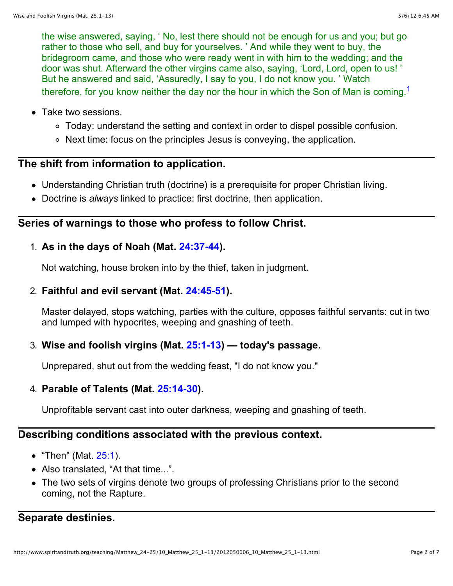the wise answered, saying, ' No, lest there should not be enough for us and you; but go rather to those who sell, and buy for yourselves. ' And while they went to buy, the bridegroom came, and those who were ready went in with him to the wedding; and the door was shut. Afterward the other virgins came also, saying, 'Lord, Lord, open to us! ' But he answered and said, 'Assuredly, I say to you, I do not know you. ' Watch therefore, for you know neither the day nor the hour in which the Son of Man is coming.<sup>[1](http://www.spiritandtruth.org/teaching/Matthew_24-25/10_Matthew_25_1-13/2012050606_10_Matthew_25_1-13.html#below1)</sup>

- Take two sessions.
	- Today: understand the setting and context in order to dispel possible confusion.
	- Next time: focus on the principles Jesus is conveying, the application.

## **The shift from information to application.**

- Understanding Christian truth (doctrine) is a prerequisite for proper Christian living.
- Doctrine is *always* linked to practice: first doctrine, then application.

#### **Series of warnings to those who profess to follow Christ.**

#### 1. **As in the days of Noah (Mat. [24:37-44\)](http://www.spiritandtruth.org/bibles/nasb/b40c024.htm#Mtt._C24V37).**

Not watching, house broken into by the thief, taken in judgment.

#### 2. **Faithful and evil servant (Mat. [24:45-51\)](http://www.spiritandtruth.org/bibles/nasb/b40c024.htm#Mtt._C24V45).**

Master delayed, stops watching, parties with the culture, opposes faithful servants: cut in two and lumped with hypocrites, weeping and gnashing of teeth.

#### 3. **Wise and foolish virgins (Mat. [25:1-13\)](http://www.spiritandtruth.org/bibles/nasb/b40c025.htm#Mtt._C25V1) — today's passage.**

Unprepared, shut out from the wedding feast, "I do not know you."

### 4. **Parable of Talents (Mat. [25:14-30\)](http://www.spiritandtruth.org/bibles/nasb/b40c025.htm#Mtt._C25V14).**

Unprofitable servant cast into outer darkness, weeping and gnashing of teeth.

### **Describing conditions associated with the previous context.**

- "Then" (Mat. [25:1\)](http://www.spiritandtruth.org/bibles/nasb/b40c025.htm#Mtt._C25V1).
- Also translated. "At that time...".
- The two sets of virgins denote two groups of professing Christians prior to the second coming, not the Rapture.

### **Separate destinies.**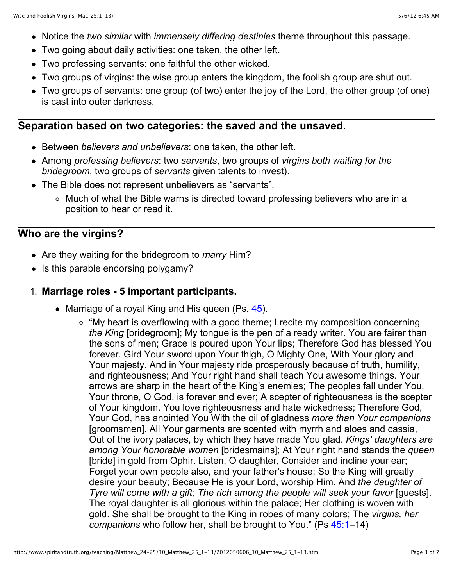- Notice the *two similar* with *immensely differing destinies* theme throughout this passage.
- Two going about daily activities: one taken, the other left.
- Two professing servants: one faithful the other wicked.
- Two groups of virgins: the wise group enters the kingdom, the foolish group are shut out.
- Two groups of servants: one group (of two) enter the joy of the Lord, the other group (of one) is cast into outer darkness.

#### **Separation based on two categories: the saved and the unsaved.**

- Between *believers and unbelievers*: one taken, the other left.
- Among *professing believers*: two *servants*, two groups of *virgins both waiting for the bridegroom*, two groups of *servants* given talents to invest).
- The Bible does not represent unbelievers as "servants".
	- Much of what the Bible warns is directed toward professing believers who are in a position to hear or read it.

## **Who are the virgins?**

- Are they waiting for the bridegroom to *marry* Him?
- Is this parable endorsing polygamy?

#### 1. **Marriage roles - 5 important participants.**

- Marriage of a royal King and His queen (Ps. [45\)](http://www.spiritandtruth.org/bibles/nasb/b19c045.htm#Ps._C45V1).
	- "My heart is overflowing with a good theme; I recite my composition concerning *the King* [bridegroom]; My tongue is the pen of a ready writer. You are fairer than the sons of men; Grace is poured upon Your lips; Therefore God has blessed You forever. Gird Your sword upon Your thigh, O Mighty One, With Your glory and Your majesty. And in Your majesty ride prosperously because of truth, humility, and righteousness; And Your right hand shall teach You awesome things. Your arrows are sharp in the heart of the King's enemies; The peoples fall under You. Your throne, O God, is forever and ever; A scepter of righteousness is the scepter of Your kingdom. You love righteousness and hate wickedness; Therefore God, Your God, has anointed You With the oil of gladness *more than Your companions* [groomsmen]. All Your garments are scented with myrrh and aloes and cassia, Out of the ivory palaces, by which they have made You glad. *Kings' daughters are among Your honorable women* [bridesmains]; At Your right hand stands the *queen* [bride] in gold from Ophir. Listen, O daughter, Consider and incline your ear; Forget your own people also, and your father's house; So the King will greatly desire your beauty; Because He is your Lord, worship Him. And *the daughter of Tyre will come with a gift; The rich among the people will seek your favor* [quests]. The royal daughter is all glorious within the palace; Her clothing is woven with gold. She shall be brought to the King in robes of many colors; The *virgins, her companions* who follow her, shall be brought to You." (Ps [45:1–](http://www.spiritandtruth.org/bibles/nasb/b19c045.htm#Ps._C45V1)14)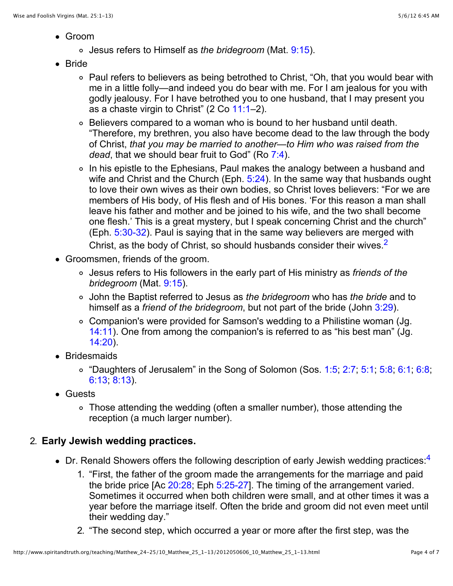- Groom
	- Jesus refers to Himself as *the bridegroom* (Mat. [9:15\)](http://www.spiritandtruth.org/bibles/nasb/b40c009.htm#Mtt._C9V15).
- Bride
	- Paul refers to believers as being betrothed to Christ, "Oh, that you would bear with me in a little folly—and indeed you do bear with me. For I am jealous for you with godly jealousy. For I have betrothed you to one husband, that I may present you as a chaste virgin to Christ" (2 Co [11:1–](http://www.spiritandtruth.org/bibles/nasb/b47c011.htm#2Cor._C11V1)2).
	- Believers compared to a woman who is bound to her husband until death. "Therefore, my brethren, you also have become dead to the law through the body of Christ, *that you may be married to another—to Him who was raised from the dead*, that we should bear fruit to God" (Ro [7:4](http://www.spiritandtruth.org/bibles/nasb/b45c007.htm#Rom._C7V4)).
	- In his epistle to the Ephesians, Paul makes the analogy between a husband and wife and Christ and the Church (Eph. [5:24\)](http://www.spiritandtruth.org/bibles/nasb/b49c005.htm#Eph._C5V24). In the same way that husbands ought to love their own wives as their own bodies, so Christ loves believers: "For we are members of His body, of His flesh and of His bones. 'For this reason a man shall leave his father and mother and be joined to his wife, and the two shall become one flesh.' This is a great mystery, but I speak concerning Christ and the church" (Eph. [5:30-32\)](http://www.spiritandtruth.org/bibles/nasb/b49c005.htm#Eph._C5V30). Paul is saying that in the same way believers are merged with Christ, as the body of Christ, so should husbands consider their wives.<sup>[2](http://www.spiritandtruth.org/teaching/Matthew_24-25/10_Matthew_25_1-13/2012050606_10_Matthew_25_1-13.html#below2)</sup>
- Groomsmen, friends of the groom.
	- Jesus refers to His followers in the early part of His ministry as *friends of the bridegroom* (Mat. [9:15\)](http://www.spiritandtruth.org/bibles/nasb/b40c009.htm#Mtt._C9V15).
	- John the Baptist referred to Jesus as *the bridegroom* who has *the bride* and to himself as a *friend of the bridegroom*, but not part of the bride (John [3:29\)](http://www.spiritandtruth.org/bibles/nasb/b43c003.htm#John_C3V29).
	- Companion's were provided for Samson's wedding to a Philistine woman (Jg. [14:11\)](http://www.spiritandtruth.org/bibles/nasb/b07c014.htm#Jdg._C14V11). One from among the companion's is referred to as "his best man" (Jg. [14:20\)](http://www.spiritandtruth.org/bibles/nasb/b07c014.htm#Jdg._C14V20).
- Bridesmaids
	- $\circ$  "Daughters of Jerusalem" in the Song of Solomon (Sos. [1:5](http://www.spiritandtruth.org/bibles/nasb/b22c001.htm#Sos._C1V5); [2:7](http://www.spiritandtruth.org/bibles/nasb/b22c002.htm#Sos._C2V7); [5:1;](http://www.spiritandtruth.org/bibles/nasb/b22c005.htm#Sos._C5V1) [5:8;](http://www.spiritandtruth.org/bibles/nasb/b22c005.htm#Sos._C5V8) [6:1;](http://www.spiritandtruth.org/bibles/nasb/b22c006.htm#Sos._C6V1) [6:8;](http://www.spiritandtruth.org/bibles/nasb/b22c006.htm#Sos._C6V8) [6:13;](http://www.spiritandtruth.org/bibles/nasb/b22c006.htm#Sos._C6V13) [8:13\)](http://www.spiritandtruth.org/bibles/nasb/b22c008.htm#Sos._C8V13).
- Guests
	- Those attending the wedding (often a smaller number), those attending the reception (a much larger number).

## 2. **Early Jewish wedding practices.**

- $\bullet$  Dr. Renald Showers offers the following description of early Jewish wedding practices.<sup>[4](http://www.spiritandtruth.org/teaching/Matthew_24-25/10_Matthew_25_1-13/2012050606_10_Matthew_25_1-13.html#below4)</sup>
	- 1. "First, the father of the groom made the arrangements for the marriage and paid the bride price [Ac [20:28;](http://www.spiritandtruth.org/bibles/nasb/b44c020.htm#Acts_C20V28) Eph [5:25-27](http://www.spiritandtruth.org/bibles/nasb/b49c005.htm#Eph._C5V25)]. The timing of the arrangement varied. Sometimes it occurred when both children were small, and at other times it was a year before the marriage itself. Often the bride and groom did not even meet until their wedding day."
	- 2. "The second step, which occurred a year or more after the first step, was the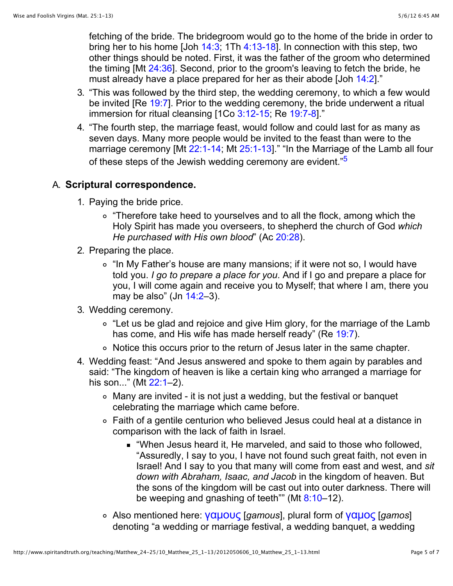fetching of the bride. The bridegroom would go to the home of the bride in order to bring her to his home [Joh  $14:3$ ; 1Th  $4:13-18$ ]. In connection with this step, two other things should be noted. First, it was the father of the groom who determined the timing [Mt [24:36\]](http://www.spiritandtruth.org/bibles/nasb/b40c024.htm#Mtt._C24V36). Second, prior to the groom's leaving to fetch the bride, he must already have a place prepared for her as their abode [Joh [14:2\]](http://www.spiritandtruth.org/bibles/nasb/b43c014.htm#John_C14V2)."

- 3. "This was followed by the third step, the wedding ceremony, to which a few would be invited [Re [19:7\]](http://www.spiritandtruth.org/bibles/nasb/b66c019.htm#Rev._C19V7). Prior to the wedding ceremony, the bride underwent a ritual immersion for ritual cleansing [1Co [3:12-15;](http://www.spiritandtruth.org/bibles/nasb/b46c003.htm#1Cor._C3V12) Re [19:7-8\]](http://www.spiritandtruth.org/bibles/nasb/b66c019.htm#Rev._C19V7)."
- 4. "The fourth step, the marriage feast, would follow and could last for as many as seven days. Many more people would be invited to the feast than were to the marriage ceremony [Mt [22:1-14;](http://www.spiritandtruth.org/bibles/nasb/b40c022.htm#Mtt._C22V1) Mt [25:1-13\]](http://www.spiritandtruth.org/bibles/nasb/b40c025.htm#Mtt._C25V1)." "In the Marriage of the Lamb all four of these steps of the Jewish wedding ceremony are evident."<sup>[5](http://www.spiritandtruth.org/teaching/Matthew_24-25/10_Matthew_25_1-13/2012050606_10_Matthew_25_1-13.html#below5)</sup>

#### A. **Scriptural correspondence.**

- 1. Paying the bride price.
	- ∘ "Therefore take heed to yourselves and to all the flock, among which the Holy Spirit has made you overseers, to shepherd the church of God *which He purchased with His own blood*" (Ac [20:28\)](http://www.spiritandtruth.org/bibles/nasb/b44c020.htm#Acts_C20V28).
- 2. Preparing the place.
	- ∘ "In My Father's house are many mansions; if it were not so, I would have told you. *I go to prepare a place for you*. And if I go and prepare a place for you, I will come again and receive you to Myself; that where I am, there you may be also" (Jn  $14:2-3$ ).
- 3. Wedding ceremony.
	- "Let us be glad and rejoice and give Him glory, for the marriage of the Lamb has come, and His wife has made herself ready" (Re [19:7\)](http://www.spiritandtruth.org/bibles/nasb/b66c019.htm#Rev._C19V7).
	- Notice this occurs prior to the return of Jesus later in the same chapter.
- 4. Wedding feast: "And Jesus answered and spoke to them again by parables and said: "The kingdom of heaven is like a certain king who arranged a marriage for his son..." (Mt 22:1-2).
	- Many are invited it is not just a wedding, but the festival or banquet celebrating the marriage which came before.
	- Faith of a gentile centurion who believed Jesus could heal at a distance in comparison with the lack of faith in Israel.
		- "When Jesus heard it, He marveled, and said to those who followed, "Assuredly, I say to you, I have not found such great faith, not even in Israel! And I say to you that many will come from east and west, and *sit down with Abraham, Isaac, and Jacob* in the kingdom of heaven. But the sons of the kingdom will be cast out into outer darkness. There will be weeping and gnashing of teeth"" (Mt  $8:10-12$ ).
	- Also mentioned here: <mark>γαμους</mark> [*gamous*], plural form of <mark>γαμος</mark> [*gamos*] denoting "a wedding or marriage festival, a wedding banquet, a wedding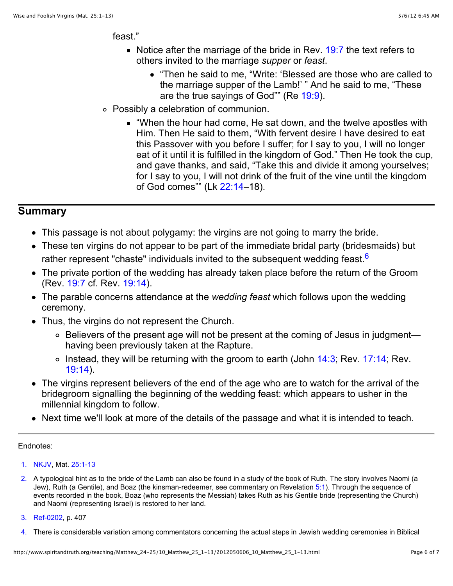feast."

- Notice after the marriage of the bride in Rev.  $19:7$  the text refers to others invited to the marriage *supper* or *feast*.
	- "Then he said to me, "Write: 'Blessed are those who are called to the marriage supper of the Lamb!' " And he said to me, "These are the true sayings of God"" (Re [19:9\)](http://www.spiritandtruth.org/bibles/nasb/b66c019.htm#Rev._C19V9).
- Possibly a celebration of communion.
	- "When the hour had come, He sat down, and the twelve apostles with Him. Then He said to them, "With fervent desire I have desired to eat this Passover with you before I suffer; for I say to you, I will no longer eat of it until it is fulfilled in the kingdom of God." Then He took the cup, and gave thanks, and said, "Take this and divide it among yourselves; for I say to you, I will not drink of the fruit of the vine until the kingdom of God comes"" (Lk [22:14–](http://www.spiritandtruth.org/bibles/nasb/b42c022.htm#Luke_C22V14)18).

#### **Summary**

- This passage is not about polygamy: the virgins are not going to marry the bride.
- These ten virgins do not appear to be part of the immediate bridal party (bridesmaids) but rather represent "chaste" individuals invited to the subsequent wedding feast. $6$
- The private portion of the wedding has already taken place before the return of the Groom (Rev. [19:7](http://www.spiritandtruth.org/bibles/nasb/b66c019.htm#Rev._C19V7) cf. Rev. [19:14\)](http://www.spiritandtruth.org/bibles/nasb/b66c019.htm#Rev._C19V14).
- The parable concerns attendance at the *wedding feast* which follows upon the wedding ceremony.
- Thus, the virgins do not represent the Church.
	- ∘ Believers of the present age will not be present at the coming of Jesus in judgment having been previously taken at the Rapture.
	- $\circ$  Instead, they will be returning with the groom to earth (John [14:3;](http://www.spiritandtruth.org/bibles/nasb/b43c014.htm#John_C14V3) Rev. [17:14;](http://www.spiritandtruth.org/bibles/nasb/b66c017.htm#Rev._C17V14) Rev. [19:14\)](http://www.spiritandtruth.org/bibles/nasb/b66c019.htm#Rev._C19V14).
- The virgins represent believers of the end of the age who are to watch for the arrival of the bridegroom signalling the beginning of the wedding feast: which appears to usher in the millennial kingdom to follow.
- Next time we'll look at more of the details of the passage and what it is intended to teach.

#### Endnotes:

- [1.](http://www.spiritandtruth.org/teaching/Matthew_24-25/10_Matthew_25_1-13/2012050606_10_Matthew_25_1-13.html#above1) [NKJV,](http://www.spiritandtruth.org/teaching/Matthew_24-25/10_Matthew_25_1-13/2012050606_10_Matthew_25_1-13.html#NKJV) Mat. [25:1-13](http://www.spiritandtruth.org/bibles/nasb/b40c025.htm#Mtt._C25V1)
- [2.](http://www.spiritandtruth.org/teaching/Matthew_24-25/10_Matthew_25_1-13/2012050606_10_Matthew_25_1-13.html#above2) A typological hint as to the bride of the Lamb can also be found in a study of the book of Ruth. The story involves Naomi (a Jew), Ruth (a Gentile), and Boaz (the kinsman-redeemer, see commentary on Revelation [5:1](http://www.spiritandtruth.org/bibles/nasb/b66c005.htm#Rev._C5V1)). Through the sequence of events recorded in the book, Boaz (who represents the Messiah) takes Ruth as his Gentile bride (representing the Church) and Naomi (representing Israel) is restored to her land.
- [3.](http://www.spiritandtruth.org/teaching/Matthew_24-25/10_Matthew_25_1-13/2012050606_10_Matthew_25_1-13.html#above3) [Ref-0202,](http://www.spiritandtruth.org/teaching/Matthew_24-25/10_Matthew_25_1-13/2012050606_10_Matthew_25_1-13.html#Ref-0202) p. 407
- [4.](http://www.spiritandtruth.org/teaching/Matthew_24-25/10_Matthew_25_1-13/2012050606_10_Matthew_25_1-13.html#above4) There is considerable variation among commentators concerning the actual steps in Jewish wedding ceremonies in Biblical